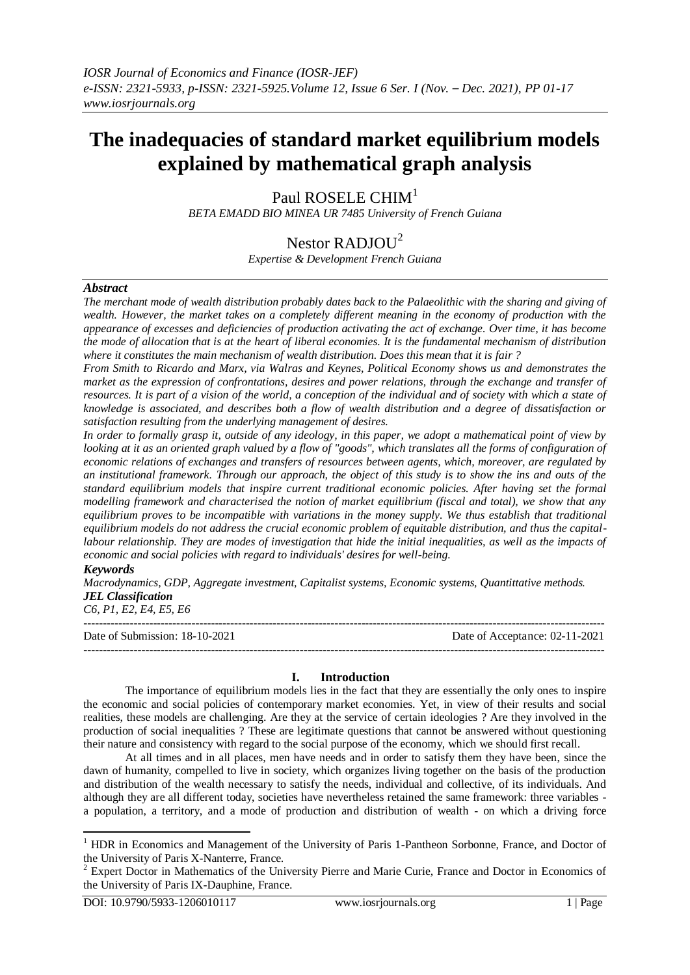# **The inadequacies of standard market equilibrium models explained by mathematical graph analysis**

Paul ROSELE CHIM<sup>1</sup>

*BETA EMADD BIO MINEA UR 7485 University of French Guiana*

# Nestor RADJOU $^2$

*Expertise & Development French Guiana*

# *Abstract*

*The merchant mode of wealth distribution probably dates back to the Palaeolithic with the sharing and giving of wealth. However, the market takes on a completely different meaning in the economy of production with the appearance of excesses and deficiencies of production activating the act of exchange. Over time, it has become the mode of allocation that is at the heart of liberal economies. It is the fundamental mechanism of distribution where it constitutes the main mechanism of wealth distribution. Does this mean that it is fair ?*

*From Smith to Ricardo and Marx, via Walras and Keynes, Political Economy shows us and demonstrates the market as the expression of confrontations, desires and power relations, through the exchange and transfer of resources. It is part of a vision of the world, a conception of the individual and of society with which a state of knowledge is associated, and describes both a flow of wealth distribution and a degree of dissatisfaction or satisfaction resulting from the underlying management of desires.* 

*In order to formally grasp it, outside of any ideology, in this paper, we adopt a mathematical point of view by looking at it as an oriented graph valued by a flow of "goods", which translates all the forms of configuration of economic relations of exchanges and transfers of resources between agents, which, moreover, are regulated by an institutional framework. Through our approach, the object of this study is to show the ins and outs of the standard equilibrium models that inspire current traditional economic policies. After having set the formal modelling framework and characterised the notion of market equilibrium (fiscal and total), we show that any equilibrium proves to be incompatible with variations in the money supply. We thus establish that traditional equilibrium models do not address the crucial economic problem of equitable distribution, and thus the capital*labour relationship. They are modes of investigation that hide the initial inequalities, as well as the impacts of *economic and social policies with regard to individuals' desires for well-being.*

#### *Keywords*

**.** 

*Macrodynamics, GDP, Aggregate investment, Capitalist systems, Economic systems, Quantittative methods. JEL Classification*

*C6, P1, E2, E4, E5, E6* ---------------------------------------------------------------------------------------------------------------------------------------

Date of Submission: 18-10-2021 Date of Acceptance: 02-11-2021

#### **I. Introduction**

---------------------------------------------------------------------------------------------------------------------------------------

The importance of equilibrium models lies in the fact that they are essentially the only ones to inspire the economic and social policies of contemporary market economies. Yet, in view of their results and social realities, these models are challenging. Are they at the service of certain ideologies ? Are they involved in the production of social inequalities ? These are legitimate questions that cannot be answered without questioning their nature and consistency with regard to the social purpose of the economy, which we should first recall.

At all times and in all places, men have needs and in order to satisfy them they have been, since the dawn of humanity, compelled to live in society, which organizes living together on the basis of the production and distribution of the wealth necessary to satisfy the needs, individual and collective, of its individuals. And although they are all different today, societies have nevertheless retained the same framework: three variables a population, a territory, and a mode of production and distribution of wealth - on which a driving force

<sup>&</sup>lt;sup>1</sup> HDR in Economics and Management of the University of Paris 1-Pantheon Sorbonne, France, and Doctor of the University of Paris X-Nanterre, France.

<sup>&</sup>lt;sup>2</sup> Expert Doctor in Mathematics of the University Pierre and Marie Curie, France and Doctor in Economics of the University of Paris IX-Dauphine, France.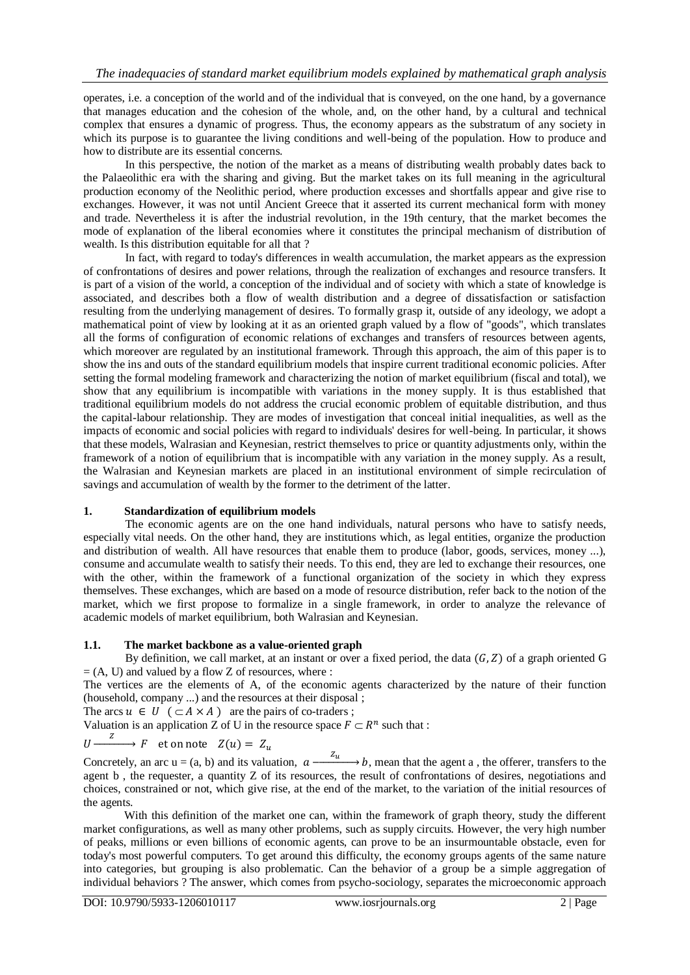operates, i.e. a conception of the world and of the individual that is conveyed, on the one hand, by a governance that manages education and the cohesion of the whole, and, on the other hand, by a cultural and technical complex that ensures a dynamic of progress. Thus, the economy appears as the substratum of any society in which its purpose is to guarantee the living conditions and well-being of the population. How to produce and how to distribute are its essential concerns.

In this perspective, the notion of the market as a means of distributing wealth probably dates back to the Palaeolithic era with the sharing and giving. But the market takes on its full meaning in the agricultural production economy of the Neolithic period, where production excesses and shortfalls appear and give rise to exchanges. However, it was not until Ancient Greece that it asserted its current mechanical form with money and trade. Nevertheless it is after the industrial revolution, in the 19th century, that the market becomes the mode of explanation of the liberal economies where it constitutes the principal mechanism of distribution of wealth. Is this distribution equitable for all that ?

In fact, with regard to today's differences in wealth accumulation, the market appears as the expression of confrontations of desires and power relations, through the realization of exchanges and resource transfers. It is part of a vision of the world, a conception of the individual and of society with which a state of knowledge is associated, and describes both a flow of wealth distribution and a degree of dissatisfaction or satisfaction resulting from the underlying management of desires. To formally grasp it, outside of any ideology, we adopt a mathematical point of view by looking at it as an oriented graph valued by a flow of "goods", which translates all the forms of configuration of economic relations of exchanges and transfers of resources between agents, which moreover are regulated by an institutional framework. Through this approach, the aim of this paper is to show the ins and outs of the standard equilibrium models that inspire current traditional economic policies. After setting the formal modeling framework and characterizing the notion of market equilibrium (fiscal and total), we show that any equilibrium is incompatible with variations in the money supply. It is thus established that traditional equilibrium models do not address the crucial economic problem of equitable distribution, and thus the capital-labour relationship. They are modes of investigation that conceal initial inequalities, as well as the impacts of economic and social policies with regard to individuals' desires for well-being. In particular, it shows that these models, Walrasian and Keynesian, restrict themselves to price or quantity adjustments only, within the framework of a notion of equilibrium that is incompatible with any variation in the money supply. As a result, the Walrasian and Keynesian markets are placed in an institutional environment of simple recirculation of savings and accumulation of wealth by the former to the detriment of the latter.

# **1. Standardization of equilibrium models**

The economic agents are on the one hand individuals, natural persons who have to satisfy needs, especially vital needs. On the other hand, they are institutions which, as legal entities, organize the production and distribution of wealth. All have resources that enable them to produce (labor, goods, services, money ...), consume and accumulate wealth to satisfy their needs. To this end, they are led to exchange their resources, one with the other, within the framework of a functional organization of the society in which they express themselves. These exchanges, which are based on a mode of resource distribution, refer back to the notion of the market, which we first propose to formalize in a single framework, in order to analyze the relevance of academic models of market equilibrium, both Walrasian and Keynesian.

# **1.1. The market backbone as a value-oriented graph**

By definition, we call market, at an instant or over a fixed period, the data  $(G, Z)$  of a graph oriented G  $= (A, U)$  and valued by a flow Z of resources, where :

The vertices are the elements of A, of the economic agents characterized by the nature of their function (household, company ...) and the resources at their disposal ;

The arcs  $u \in U$   $(\subset A \times A)$  are the pairs of co-traders;

Valuation is an application Z of U in the resource space  $F \subset \mathbb{R}^n$  such that :

$$
U \xrightarrow{Z} F \quad \text{et on note} \quad Z(u) = Z_u
$$

Concretely, an arc  $u = (a, b)$  and its valuation,  $a \xrightarrow{z_u} b$ , mean that the agent a, the offerer, transfers to the agent b , the requester, a quantity Z of its resources, the result of confrontations of desires, negotiations and choices, constrained or not, which give rise, at the end of the market, to the variation of the initial resources of the agents.

With this definition of the market one can, within the framework of graph theory, study the different market configurations, as well as many other problems, such as supply circuits. However, the very high number of peaks, millions or even billions of economic agents, can prove to be an insurmountable obstacle, even for today's most powerful computers. To get around this difficulty, the economy groups agents of the same nature into categories, but grouping is also problematic. Can the behavior of a group be a simple aggregation of individual behaviors ? The answer, which comes from psycho-sociology, separates the microeconomic approach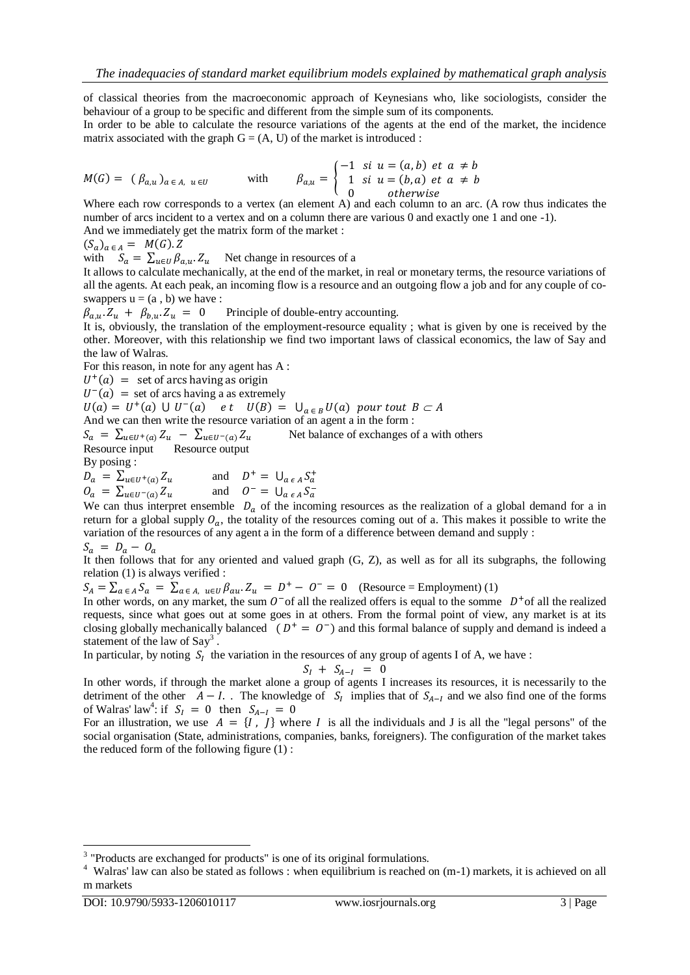of classical theories from the macroeconomic approach of Keynesians who, like sociologists, consider the behaviour of a group to be specific and different from the simple sum of its components.

In order to be able to calculate the resource variations of the agents at the end of the market, the incidence matrix associated with the graph  $G = (A, U)$  of the market is introduced :

$$
M(G) = (\beta_{a,u})_{a \in A, u \in U}
$$
 with 
$$
\beta_{a,u} = \begin{cases} -1 & \text{si } u = (a,b) \text{ et } a \neq b \\ 1 & \text{si } u = (b,a) \text{ et } a \neq b \\ 0 & \text{otherwise} \end{cases}
$$

Where each row corresponds to a vertex (an element A) and each column to an arc. (A row thus indicates the number of arcs incident to a vertex and on a column there are various 0 and exactly one 1 and one -1). And we immediately get the matrix form of the market :

 $(S_a)_{a \in A} = M(G).Z$ 

with  $S_a = \sum_{u \in U} \beta_{a,u} Z_u$  Net change in resources of a

It allows to calculate mechanically, at the end of the market, in real or monetary terms, the resource variations of all the agents. At each peak, an incoming flow is a resource and an outgoing flow a job and for any couple of coswappers  $u = (a, b)$  we have :

 $\beta_{a,u} Z_u + \beta_{b,u} Z_u = 0$  Principle of double-entry accounting.

It is, obviously, the translation of the employment-resource equality ; what is given by one is received by the other. Moreover, with this relationship we find two important laws of classical economics, the law of Say and the law of Walras.

For this reason, in note for any agent has A :

 $U^+$ 

 $U^{-}(a)$  = set of arcs having a as extremely

 $U(a) = U^+(a) \cup U^-$ 

And we can then write the resource variation of an agent a in the form :

 $S_a = \sum_{u \in U^+(a)} Z_u - \sum_{u \in U^-(a)} Z_u$  Net balance of exchanges of a with others Resource input Resource output

By posing :

 $D_a = \sum_{u \in U^+(a)} Z_u$ + =  $U_{a \epsilon A} S_a^+$ <br>- =  $U_{a \epsilon A} S_a^ \ddot{Q}_a = \sum_{u \in U^-(a)} Z_u$ 

We can thus interpret ensemble  $D<sub>a</sub>$  of the incoming resources as the realization of a global demand for a in return for a global supply  $O_a$ , the totality of the resources coming out of a. This makes it possible to write the variation of the resources of any agent a in the form of a difference between demand and supply :

$$
S_a = D_a - O_a
$$

It then follows that for any oriented and valued graph (G, Z), as well as for all its subgraphs, the following relation (1) is always verified :

 $S_A = \sum_{a \in A} S_a = \sum_{a \in A} \sum_{u \in U} \beta_{au} Z_u = D^+ - O^- = 0$  (Resource = Employment) (1)

In other words, on any market, the sum  $0^-$  of all the realized offers is equal to the somme  $D^+$  of all the realized requests, since what goes out at some goes in at others. From the formal point of view, any market is at its closing globally mechanically balanced  $(D^+ = O^-)$  and this formal balance of supply and demand is indeed a statement of the law of Say<sup>3</sup>.

In particular, by noting  $S_t$  the variation in the resources of any group of agents I of A, we have :

$$
S_I + S_{A-I} = 0
$$

In other words, if through the market alone a group of agents I increases its resources, it is necessarily to the detriment of the other  $A - I$ . The knowledge of  $S_I$  implies that of  $S_{A-I}$  and we also find one of the forms of Walras' law<sup>4</sup>: if

For an illustration, we use  $A = \{I, J\}$  where I is all the individuals and J is all the "legal persons" of the social organisation (State, administrations, companies, banks, foreigners). The configuration of the market takes the reduced form of the following figure  $(1)$ :

1

<sup>&</sup>lt;sup>3</sup> "Products are exchanged for products" is one of its original formulations.

<sup>4</sup> Walras' law can also be stated as follows : when equilibrium is reached on (m-1) markets, it is achieved on all m markets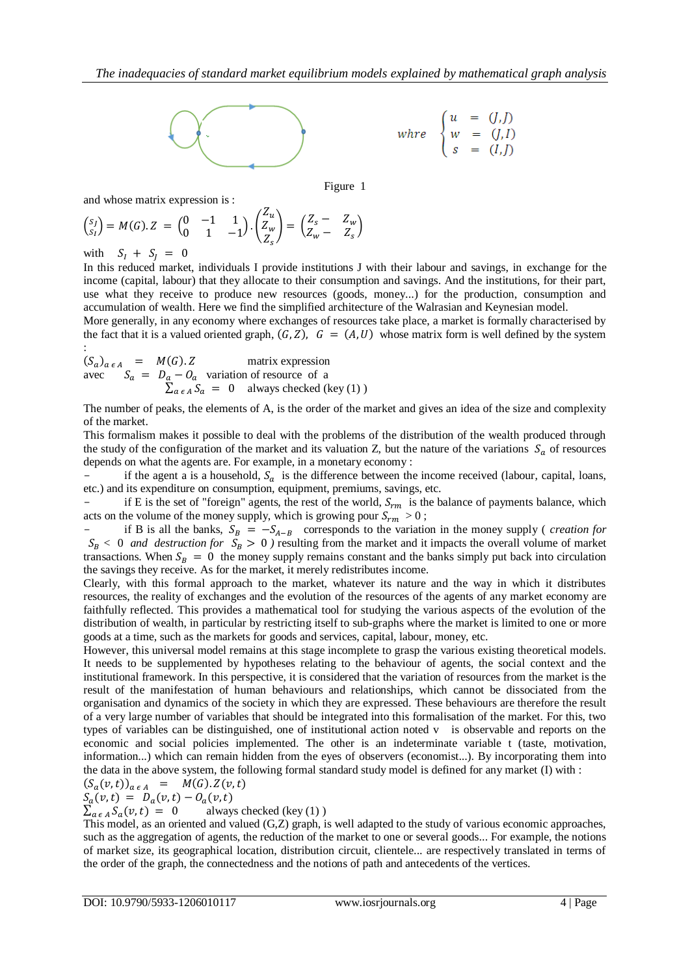

Figure 1

and whose matrix expression is :

$$
\begin{pmatrix} s_J \\ s_I \end{pmatrix} = M(G).Z = \begin{pmatrix} 0 & -1 & 1 \\ 0 & 1 & -1 \end{pmatrix} \cdot \begin{pmatrix} Z_u \\ Z_w \\ Z_s \end{pmatrix} = \begin{pmatrix} Z_s - Z_w \\ Z_w - Z_s \end{pmatrix}
$$

with  $S_I + S_I = 0$ 

In this reduced market, individuals I provide institutions J with their labour and savings, in exchange for the income (capital, labour) that they allocate to their consumption and savings. And the institutions, for their part, use what they receive to produce new resources (goods, money...) for the production, consumption and accumulation of wealth. Here we find the simplified architecture of the Walrasian and Keynesian model.

More generally, in any economy where exchanges of resources take place, a market is formally characterised by the fact that it is a valued oriented graph,  $(G, Z)$ ,  $G = (A, U)$  whose matrix form is well defined by the system :

$$
(S_a)_{a \in A} = M(G).Z
$$
 matrix expression  
avec 
$$
S_a = D_a - O_a
$$
 variation of resource of a  

$$
\sum_{a \in A} S_a = 0
$$
 always checked (key (1))

The number of peaks, the elements of A, is the order of the market and gives an idea of the size and complexity of the market.

This formalism makes it possible to deal with the problems of the distribution of the wealth produced through the study of the configuration of the market and its valuation Z, but the nature of the variations  $S_a$  of resources depends on what the agents are. For example, in a monetary economy :

if the agent a is a household,  $S_a$  is the difference between the income received (labour, capital, loans, etc.) and its expenditure on consumption, equipment, premiums, savings, etc.

if E is the set of "foreign" agents, the rest of the world,  $S<sub>rm</sub>$  is the balance of payments balance, which acts on the volume of the money supply, which is growing pour  $S_{rm} > 0$ ;

if B is all the banks,  $S_B = -S_{A-B}$  corresponds to the variation in the money supply (*creation for*  $S_B < 0$  *and destruction for*  $S_B > 0$  ) resulting from the market and it impacts the overall volume of market transactions. When  $S_B = 0$  the money supply remains constant and the banks simply put back into circulation the savings they receive. As for the market, it merely redistributes income.

Clearly, with this formal approach to the market, whatever its nature and the way in which it distributes resources, the reality of exchanges and the evolution of the resources of the agents of any market economy are faithfully reflected. This provides a mathematical tool for studying the various aspects of the evolution of the distribution of wealth, in particular by restricting itself to sub-graphs where the market is limited to one or more goods at a time, such as the markets for goods and services, capital, labour, money, etc.

However, this universal model remains at this stage incomplete to grasp the various existing theoretical models. It needs to be supplemented by hypotheses relating to the behaviour of agents, the social context and the institutional framework. In this perspective, it is considered that the variation of resources from the market is the result of the manifestation of human behaviours and relationships, which cannot be dissociated from the organisation and dynamics of the society in which they are expressed. These behaviours are therefore the result of a very large number of variables that should be integrated into this formalisation of the market. For this, two types of variables can be distinguished, one of institutional action noted v is observable and reports on the economic and social policies implemented. The other is an indeterminate variable t (taste, motivation, information...) which can remain hidden from the eyes of observers (economist...). By incorporating them into the data in the above system, the following formal standard study model is defined for any market (I) with :

$$
(S_a(v,t))_{a \in A} = M(G).Z(v,t)
$$
  
 
$$
S(v,t) = D(v,t) - Q(v,t)
$$

$$
\sum_{a \in A} S_a(v, t) = 0
$$
 always checked (key (1))

This model, as an oriented and valued (G,Z) graph, is well adapted to the study of various economic approaches, such as the aggregation of agents, the reduction of the market to one or several goods... For example, the notions of market size, its geographical location, distribution circuit, clientele... are respectively translated in terms of the order of the graph, the connectedness and the notions of path and antecedents of the vertices.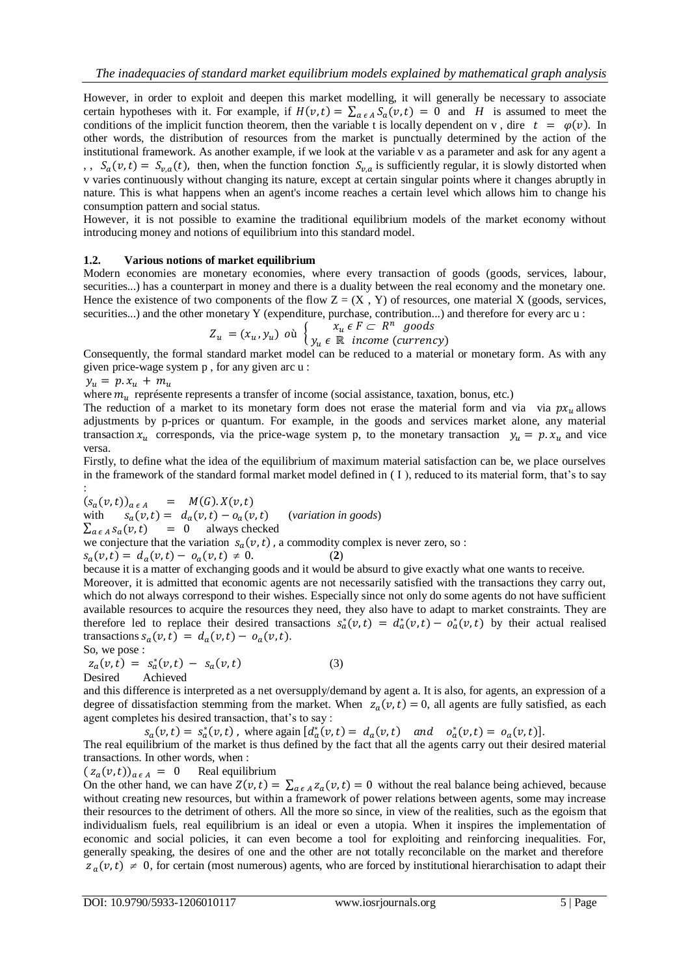However, in order to exploit and deepen this market modelling, it will generally be necessary to associate certain hypotheses with it. For example, if  $H(v,t) = \sum_{a \in A} S_a(v,t) = 0$  and *H* is assumed to meet the conditions of the implicit function theorem, then the variable t is locally dependent on v, dire  $t = \varphi(v)$ . In other words, the distribution of resources from the market is punctually determined by the action of the institutional framework. As another example, if we look at the variable v as a parameter and ask for any agent a ,  $S_a(v,t) = S_{v,a}(t)$ , then, when the function fonction  $S_{v,a}$  is sufficiently regular, it is slowly distorted when v varies continuously without changing its nature, except at certain singular points where it changes abruptly in nature. This is what happens when an agent's income reaches a certain level which allows him to change his consumption pattern and social status.

However, it is not possible to examine the traditional equilibrium models of the market economy without introducing money and notions of equilibrium into this standard model.

#### **1.2. Various notions of market equilibrium**

Modern economies are monetary economies, where every transaction of goods (goods, services, labour, securities...) has a counterpart in money and there is a duality between the real economy and the monetary one. Hence the existence of two components of the flow  $Z = (X, Y)$  of resources, one material X (goods, services, securities...) and the other monetary Y (expenditure, purchase, contribution...) and therefore for every arc u :

$$
Z_u = (x_u, y_u) \text{ où } \begin{cases} x_u \in F \subset R^n \text{ goods} \\ y_u \in \mathbb{R} \text{ income (currency)} \end{cases}
$$

Consequently, the formal standard market model can be reduced to a material or monetary form. As with any given price-wage system p , for any given arc u :

 $y_u = p.x_u + m_u$ 

where  $m_u$  représente represents a transfer of income (social assistance, taxation, bonus, etc.)

The reduction of a market to its monetary form does not erase the material form and via  $\alpha$  via  $\alpha x_u$  allows adjustments by p-prices or quantum. For example, in the goods and services market alone, any material transaction  $x_u$  corresponds, via the price-wage system p, to the monetary transaction  $y_u = p.x_u$  and vice versa.

Firstly, to define what the idea of the equilibrium of maximum material satisfaction can be, we place ourselves in the framework of the standard formal market model defined in ( I ), reduced to its material form, that's to say

:  $(S_a(v,t))_{a \in A}$  =  $M(G).X(v,t)$ with  $s_a(v,t) = d_a(v,t) - o_a(v,t)$  (variation in goods)  $\sum_{a \in A} s_a(v, t) = 0$  always checked

we conjecture that the variation  $s_a(v, t)$ , a commodity complex is never zero, so :

$$
s_a(v,t) = d_a(v,t) - o_a(v,t) \neq 0.
$$
 (2)

because it is a matter of exchanging goods and it would be absurd to give exactly what one wants to receive.

Moreover, it is admitted that economic agents are not necessarily satisfied with the transactions they carry out, which do not always correspond to their wishes. Especially since not only do some agents do not have sufficient available resources to acquire the resources they need, they also have to adapt to market constraints. They are therefore led to replace their desired transactions  $s_a^*(v,t) = d_a^*(v,t) - o_a^*(v,t)$  by their actual realised transactions  $s_a(v, t) = d_a(v, t) - o_a(v, t)$ .

So, we pose :

 $z_a(v,t) = s_a^*(v,t) - s_a(v,t)$  (3) Desired Achieved

and this difference is interpreted as a net oversupply/demand by agent a. It is also, for agents, an expression of a degree of dissatisfaction stemming from the market. When  $z_a(v,t) = 0$ , all agents are fully satisfied, as each agent completes his desired transaction, that's to say :

 $s_a(v,t) = s_a^*(v,t)$ , where again  $\left[d_a^*(v,t) = d_a(v,t) \right]$  and  $o_a^*(v,t) = o_a(v,t)$ .

The real equilibrium of the market is thus defined by the fact that all the agents carry out their desired material transactions. In other words, when :

 $(z_a(v,t))_{a \in A} = 0$  Real equilibrium

On the other hand, we can have  $Z(v,t) = \sum_{a \in A} z_a(v,t) = 0$  without the real balance being achieved, because without creating new resources, but within a framework of power relations between agents, some may increase their resources to the detriment of others. All the more so since, in view of the realities, such as the egoism that individualism fuels, real equilibrium is an ideal or even a utopia. When it inspires the implementation of economic and social policies, it can even become a tool for exploiting and reinforcing inequalities. For, generally speaking, the desires of one and the other are not totally reconcilable on the market and therefore  $z_a(v,t) \neq 0$ , for certain (most numerous) agents, who are forced by institutional hierarchisation to adapt their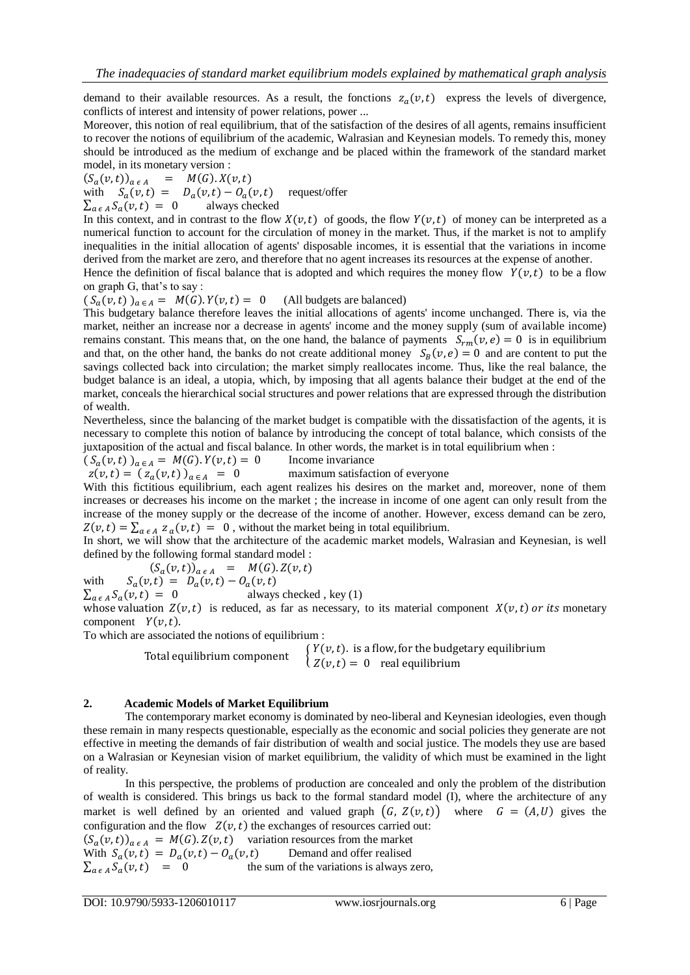demand to their available resources. As a result, the fonctions  $z_a(v,t)$  express the levels of divergence, conflicts of interest and intensity of power relations, power ...

Moreover, this notion of real equilibrium, that of the satisfaction of the desires of all agents, remains insufficient to recover the notions of equilibrium of the academic, Walrasian and Keynesian models. To remedy this, money should be introduced as the medium of exchange and be placed within the framework of the standard market model, in its monetary version :

 $M(G)$ .  $X(v,t)$  $(S_a(v,t))_{a \in A}$  $\,=\,$ 

with  $S_a(v, t) = D_a(v, t) - O_a(v, t)$  request/offer

 $\sum_{a \in A} S_a(v, t) = 0$  always checked

In this context, and in contrast to the flow  $X(v,t)$  of goods, the flow  $Y(v,t)$  of money can be interpreted as a numerical function to account for the circulation of money in the market. Thus, if the market is not to amplify inequalities in the initial allocation of agents' disposable incomes, it is essential that the variations in income derived from the market are zero, and therefore that no agent increases its resources at the expense of another.

Hence the definition of fiscal balance that is adopted and which requires the money flow  $Y(v, t)$  to be a flow on graph G, that's to say :

 $(S_a(v, t))_{a \in A} = M(G)$ .  $Y(v, t) = 0$  (All budgets are balanced)

This budgetary balance therefore leaves the initial allocations of agents' income unchanged. There is, via the market, neither an increase nor a decrease in agents' income and the money supply (sum of available income) remains constant. This means that, on the one hand, the balance of payments  $S_{rm}(v, e) = 0$  is in equilibrium and that, on the other hand, the banks do not create additional money  $S_R(v, e) = 0$  and are content to put the savings collected back into circulation; the market simply reallocates income. Thus, like the real balance, the budget balance is an ideal, a utopia, which, by imposing that all agents balance their budget at the end of the market, conceals the hierarchical social structures and power relations that are expressed through the distribution of wealth.

Nevertheless, since the balancing of the market budget is compatible with the dissatisfaction of the agents, it is necessary to complete this notion of balance by introducing the concept of total balance, which consists of the juxtaposition of the actual and fiscal balance. In other words, the market is in total equilibrium when :

 $(S_a(v,t))_{a \in A} = M(G)$ .  $Y(v,t) = 0$  Income invariance

 $z(v, t) = (z_a(v, t))_{a \in A} = 0$  maximum satisfaction of everyone With this fictitious equilibrium, each agent realizes his desires on the market and, moreover, none of them increases or decreases his income on the market ; the increase in income of one agent can only result from the increase of the money supply or the decrease of the income of another. However, excess demand can be zero,  $Z(v,t) = \sum_{a \in A} z_a(v,t) = 0$ , without the market being in total equilibrium.

In short, we will show that the architecture of the academic market models, Walrasian and Keynesian, is well defined by the following formal standard model :

 $(S_a(v,t))_{a \in A}$  =  $M(G).Z(v,t)$ 

$$
S_a(v,t) = D_a(v,t) - O_a(v,t)
$$

with

 $\sum_{a \in A} S_a(v, t) = 0$  always checked, key (1)

whose valuation  $Z(v,t)$  is reduced, as far as necessary, to its material component  $X(v,t)$  or its monetary component  $Y(v,t)$ .

To which are associated the notions of equilibrium :

Total equilibrium component  $\int Y(v, t)$ . is a flow, for the budgetary equilibrium  $\int Z(v,t) = 0$  real equilibrium

#### **2. Academic Models of Market Equilibrium**

The contemporary market economy is dominated by neo-liberal and Keynesian ideologies, even though these remain in many respects questionable, especially as the economic and social policies they generate are not effective in meeting the demands of fair distribution of wealth and social justice. The models they use are based on a Walrasian or Keynesian vision of market equilibrium, the validity of which must be examined in the light of reality.

In this perspective, the problems of production are concealed and only the problem of the distribution of wealth is considered. This brings us back to the formal standard model (I), where the architecture of any market is well defined by an oriented and valued graph  $(G, Z(v,t))$  where  $G = (A, U)$  gives the configuration and the flow  $Z(\nu, t)$  the exchanges of resources carried out:  $(S_a(v,t))_{a \in A} = M(G) \cdot Z(v,t)$  variation resources from the market With  $S_a(v, t) = D_a(v, t) - O_a(v, t)$  Demand and offer realised

 $\sum_{a \in A} S_a(v, t) = 0$  the sum of the variations is always zero,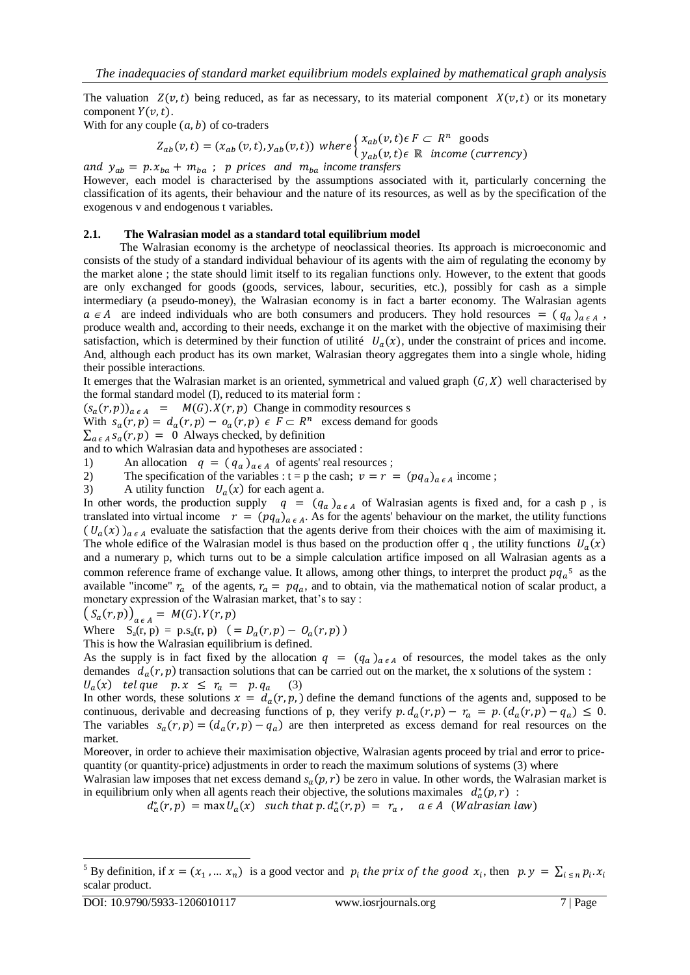The valuation  $Z(v,t)$  being reduced, as far as necessary, to its material component  $X(v,t)$  or its monetary component  $Y(v, t)$ .

With for any couple  $(a, b)$  of co-traders

$$
Z_{ab}(v,t) = (x_{ab}(v,t), y_{ab}(v,t)) \text{ where } \begin{cases} x_{ab}(v,t) \in F \subset R^n \text{ goods} \\ y_{ab}(v,t) \in \mathbb{R} \text{ income (currency)} \end{cases}
$$

and  $y_{ab} = p \cdot x_{ba} + m_{ba}$ ; p prices and  $m_{ba}$  income transfers However, each model is characterised by the assumptions associated with it, particularly concerning the classification of its agents, their behaviour and the nature of its resources, as well as by the specification of the exogenous v and endogenous t variables.

#### **2.1. The Walrasian model as a standard total equilibrium model**

The Walrasian economy is the archetype of neoclassical theories. Its approach is microeconomic and consists of the study of a standard individual behaviour of its agents with the aim of regulating the economy by the market alone ; the state should limit itself to its regalian functions only. However, to the extent that goods are only exchanged for goods (goods, services, labour, securities, etc.), possibly for cash as a simple intermediary (a pseudo-money), the Walrasian economy is in fact a barter economy. The Walrasian agents  $a \in A$  are indeed individuals who are both consumers and producers. They hold resources  $=(q_a)_{a \in A}$ , produce wealth and, according to their needs, exchange it on the market with the objective of maximising their satisfaction, which is determined by their function of utilité  $U_a(x)$ , under the constraint of prices and income. And, although each product has its own market, Walrasian theory aggregates them into a single whole, hiding their possible interactions.

It emerges that the Walrasian market is an oriented, symmetrical and valued graph  $(G, X)$  well characterised by the formal standard model (I), reduced to its material form :

 $(S_a(r, p))_{a \in A}$  =  $M(G) \cdot X(r, p)$  Change in commodity resources s

With  $s_a(r, p) = d_a(r, p) - o_a(r, p) \in F \subset R^n$  excess demand for goods

 $\sum_{a \in A} s_a(r, p) = 0$  Always checked, by definition

and to which Walrasian data and hypotheses are associated :

1) An allocation  $q = (q_a)_{a \in A}$  of agents' real resources;

- 2) The specification of the variables :  $t = p$  the cash;  $v = r = (pq_a)_{a \in A}$  income;
- 3) A utility function  $U_a(x)$  for each agent a.

In other words, the production supply  $q = (q_a)_{a \in A}$  of Walrasian agents is fixed and, for a cash p, is translated into virtual income  $r = (pq_a)_{a \in A}$ . As for the agents' behaviour on the market, the utility functions  $(U_a(x))_{a \in A}$  evaluate the satisfaction that the agents derive from their choices with the aim of maximising it. The whole edifice of the Walrasian model is thus based on the production offer q, the utility functions  $U_a$ and a numerary p, which turns out to be a simple calculation artifice imposed on all Walrasian agents as a common reference frame of exchange value. It allows, among other things, to interpret the product  $pq_a$ <sup>5</sup> as the available "income"  $r_a$  of the agents,  $r_a = pq_a$ , and to obtain, via the mathematical notion of scalar product, a monetary expression of the Walrasian market, that's to say :

$$
(S_a(r,p))_{a \in A} = M(G) \cdot Y(r,p)
$$

Where  $S_a(r, p) = p.S_a(r, p)$  (

This is how the Walrasian equilibrium is defined.

As the supply is in fact fixed by the allocation  $q = (q_a)_{a \in A}$  of resources, the model takes as the only demandes  $d_a(r, p)$  transaction solutions that can be carried out on the market, the x solutions of the system :  $U_a(x)$  telque  $p.x \leq r_a = p.q_a$  (3)

In other words, these solutions  $x = d_a(r, p)$ , define the demand functions of the agents and, supposed to be continuous, derivable and decreasing functions of p, they verify  $p \cdot d_a(r,p) - r_a = p \cdot (d_a(r,p) - q_a) \leq 0$ . The variables  $s_a(r, p) = (d_a(r, p) - q_a)$  are then interpreted as excess demand for real resources on the market.

Moreover, in order to achieve their maximisation objective, Walrasian agents proceed by trial and error to pricequantity (or quantity-price) adjustments in order to reach the maximum solutions of systems (3) where

Walrasian law imposes that net excess demand  $s_a(p, r)$  be zero in value. In other words, the Walrasian market is in equilibrium only when all agents reach their objective, the solutions maximales  $d_a^*(p,r)$ :

 $d_a^*(r,p) = \max U_a(x)$  such that p.  $d_a^*(r)$ 

<sup>-</sup><sup>5</sup> By definition, if  $x = (x_1, ..., x_n)$  is a good vector and  $p_i$  the prix of the good  $x_i$ , then scalar product.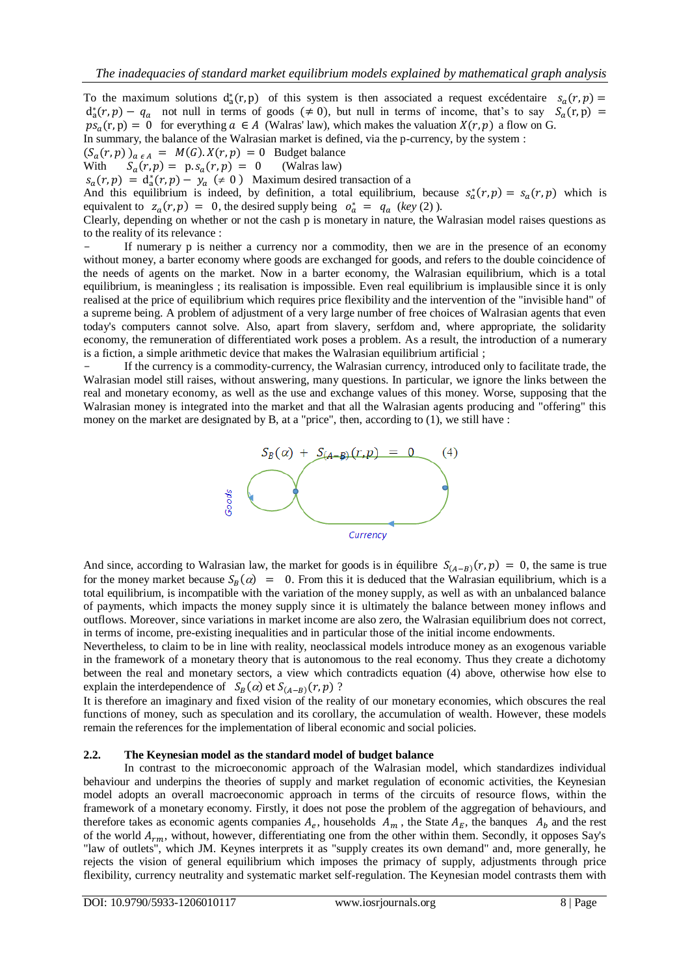To the maximum solutions  $d_a^*(r, p)$  of this system is then associated a request excédentaire  $s_a$  $d_a^*(r, p) - q_a$  not null in terms of goods ( $\neq 0$ ), but null in terms of income, that's to say  $S_a$  $ps_{\alpha}(r, p) = 0$  for everything  $\alpha \in A$  (Walras' law), which makes the valuation  $X(r, p)$  a flow on G. In summary, the balance of the Walrasian market is defined, via the p-currency, by the system :

 $(S_a(r, p))_{a \in A} = M(G) \cdot X(r, p) = 0$  Budget balance

With  $S_a(r, p) = p. s_a(r, p) = 0$  (Walras law)

 $S_a(r, p) = d_a^*(r, p) - y_a \neq 0$  Maximum desired transaction of a

And this equilibrium is indeed, by definition, a total equilibrium, because  $s_a^*(r, p) = s_a(r, p)$  which is equivalent to  $z_a(r, p) = 0$ , the desired supply being  $o_a^* = q_a$  (key (2)).

Clearly, depending on whether or not the cash p is monetary in nature, the Walrasian model raises questions as to the reality of its relevance :

If numerary p is neither a currency nor a commodity, then we are in the presence of an economy without money, a barter economy where goods are exchanged for goods, and refers to the double coincidence of the needs of agents on the market. Now in a barter economy, the Walrasian equilibrium, which is a total equilibrium, is meaningless ; its realisation is impossible. Even real equilibrium is implausible since it is only realised at the price of equilibrium which requires price flexibility and the intervention of the "invisible hand" of a supreme being. A problem of adjustment of a very large number of free choices of Walrasian agents that even today's computers cannot solve. Also, apart from slavery, serfdom and, where appropriate, the solidarity economy, the remuneration of differentiated work poses a problem. As a result, the introduction of a numerary is a fiction, a simple arithmetic device that makes the Walrasian equilibrium artificial ;

If the currency is a commodity-currency, the Walrasian currency, introduced only to facilitate trade, the Walrasian model still raises, without answering, many questions. In particular, we ignore the links between the real and monetary economy, as well as the use and exchange values of this money. Worse, supposing that the Walrasian money is integrated into the market and that all the Walrasian agents producing and "offering" this money on the market are designated by B, at a "price", then, according to (1), we still have :



And since, according to Walrasian law, the market for goods is in équilibre  $S_{(A-B)}(r,p) = 0$ , the same is true for the money market because  $S_R(\alpha) = 0$ . From this it is deduced that the Walrasian equilibrium, which is a total equilibrium, is incompatible with the variation of the money supply, as well as with an unbalanced balance of payments, which impacts the money supply since it is ultimately the balance between money inflows and outflows. Moreover, since variations in market income are also zero, the Walrasian equilibrium does not correct, in terms of income, pre-existing inequalities and in particular those of the initial income endowments.

Nevertheless, to claim to be in line with reality, neoclassical models introduce money as an exogenous variable in the framework of a monetary theory that is autonomous to the real economy. Thus they create a dichotomy between the real and monetary sectors, a view which contradicts equation (4) above, otherwise how else to explain the interdependence of  $S_B(\alpha)$  et  $S_{(A-B)}(r, p)$ ?

It is therefore an imaginary and fixed vision of the reality of our monetary economies, which obscures the real functions of money, such as speculation and its corollary, the accumulation of wealth. However, these models remain the references for the implementation of liberal economic and social policies.

#### **2.2. The Keynesian model as the standard model of budget balance**

In contrast to the microeconomic approach of the Walrasian model, which standardizes individual behaviour and underpins the theories of supply and market regulation of economic activities, the Keynesian model adopts an overall macroeconomic approach in terms of the circuits of resource flows, within the framework of a monetary economy. Firstly, it does not pose the problem of the aggregation of behaviours, and therefore takes as economic agents companies  $A_e$ , households  $A_m$ , the State  $A_E$ , the banques  $A_h$  and the rest of the world  $A_{rm}$ , without, however, differentiating one from the other within them. Secondly, it opposes Say's "law of outlets", which JM. Keynes interprets it as "supply creates its own demand" and, more generally, he rejects the vision of general equilibrium which imposes the primacy of supply, adjustments through price flexibility, currency neutrality and systematic market self-regulation. The Keynesian model contrasts them with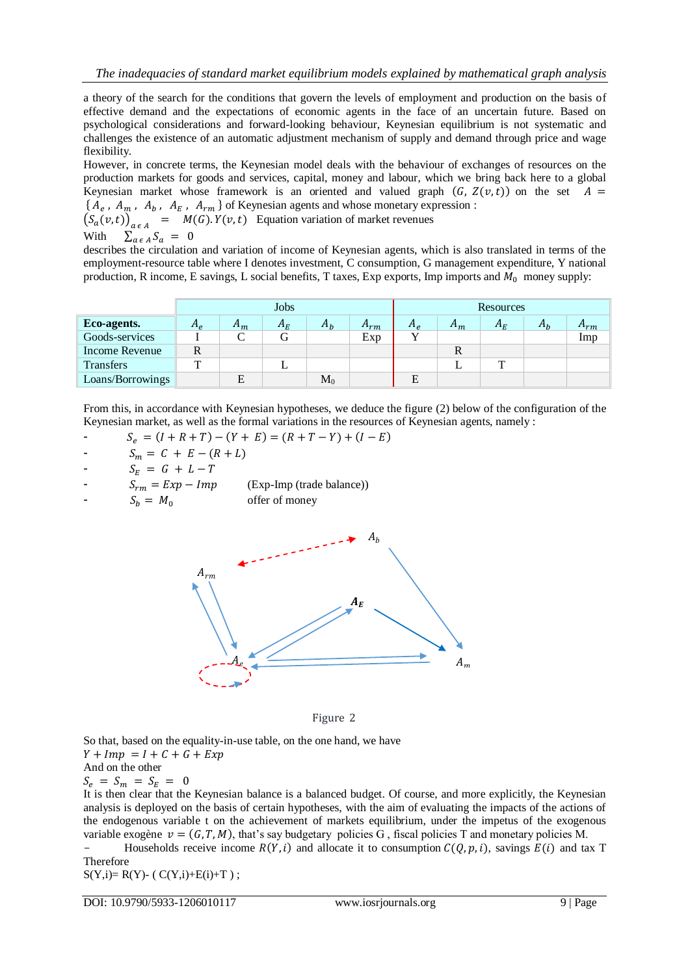a theory of the search for the conditions that govern the levels of employment and production on the basis of effective demand and the expectations of economic agents in the face of an uncertain future. Based on psychological considerations and forward-looking behaviour, Keynesian equilibrium is not systematic and challenges the existence of an automatic adjustment mechanism of supply and demand through price and wage flexibility.

However, in concrete terms, the Keynesian model deals with the behaviour of exchanges of resources on the production markets for goods and services, capital, money and labour, which we bring back here to a global Keynesian market whose framework is an oriented and valued graph  $(G, Z(v,t))$  on the set  $A =$  ${A_e, A_m, A_b, A_E, A_{rm}}$  of Keynesian agents and whose monetary expression :

 $(S_a(v,t))_{a \in A}$  =  $M(G)$ .  $Y(v,t)$  Equation variation of market revenues With  $\sum_{a \in A} S_a = 0$ 

describes the circulation and variation of income of Keynesian agents, which is also translated in terms of the employment-resource table where I denotes investment, C consumption, G management expenditure, Y national production, R income, E savings, L social benefits, T taxes, Exp exports, Imp imports and  $M_0$  money supply:

|                  | Jobs         |       |         |       |          | <b>Resources</b> |       |         |       |          |
|------------------|--------------|-------|---------|-------|----------|------------------|-------|---------|-------|----------|
| Eco-agents.      | $A_{\rho}$   | $n_m$ | $A_{E}$ | $A_h$ | $n_{rm}$ | $A_e$            | $A_m$ | $A_{E}$ | $n_h$ | $A_{rm}$ |
| Goods-services   |              |       |         |       | Exp      |                  |       |         |       | Imp      |
| Income Revenue   | $\mathbb{R}$ |       |         |       |          |                  |       |         |       |          |
| <b>Transfers</b> | m            |       |         |       |          |                  |       | m       |       |          |
| Loans/Borrowings |              |       |         | $M_0$ |          |                  |       |         |       |          |

From this, in accordance with Keynesian hypotheses, we deduce the figure (2) below of the configuration of the Keynesian market, as well as the formal variations in the resources of Keynesian agents, namely :

$$
S_e = (I + R + T) - (Y + E) = (R + T - Y) + (I - E)
$$

$$
S_m = C + E - (R + L)
$$

$$
S_E = G + L - T
$$

- (Exp-Imp (trade balance))  $S_{rm} = Exp - Imp$  (Exp-Imp (trad<br>  $S_b = M_0$  offer of money
- 





So that, based on the equality-in-use table, on the one hand, we have  $Y + Imp = I + C + G + Exp$ And on the other  $S_e = S_m = S_E = 0$ 

It is then clear that the Keynesian balance is a balanced budget. Of course, and more explicitly, the Keynesian analysis is deployed on the basis of certain hypotheses, with the aim of evaluating the impacts of the actions of the endogenous variable t on the achievement of markets equilibrium, under the impetus of the exogenous variable exogène  $v = (G, T, M)$ , that's say budgetary policies G, fiscal policies T and monetary policies M.

Households receive income  $R(Y, i)$  and allocate it to consumption  $C(0, p, i)$ , savings  $E(i)$  and tax T Therefore

 $S(Y,i)= R(Y) - (C(Y,i)+E(i)+T);$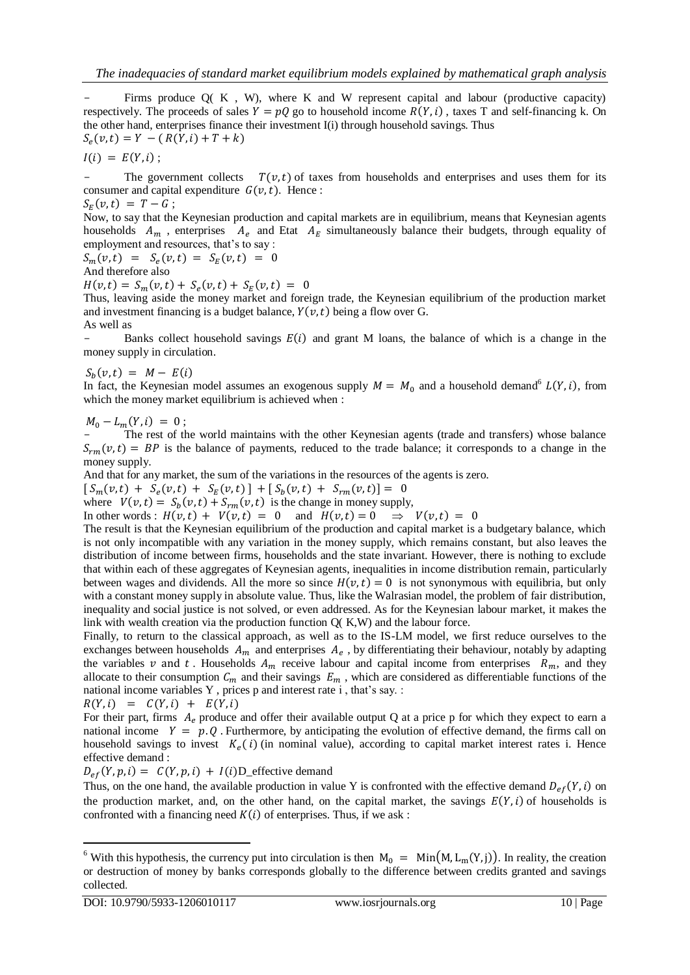Firms produce  $Q(K, W)$ , where K and W represent capital and labour (productive capacity) respectively. The proceeds of sales  $Y = pQ$  go to household income  $R(Y, i)$ , taxes T and self-financing k. On the other hand, enterprises finance their investment I(i) through household savings. Thus  $S_e($ 

 $I(i) = E(Y, i)$ ;

The government collects  $T(v,t)$  of taxes from households and enterprises and uses them for its consumer and capital expenditure  $G(v, t)$ . Hence:

$$
S_E(v,t) = T - G;
$$

Now, to say that the Keynesian production and capital markets are in equilibrium, means that Keynesian agents households  $A_m$ , enterprises  $A_e$  and Etat  $A_E$  simultaneously balance their budgets, through equality of employment and resources, that's to say :

$$
S_m(v,t) = S_e(v,t) = S_E(v,t) = 0
$$

And therefore also

 $H(v,t) = S_m(v,t) + S_e(v,t) + S_E(v)$ 

Thus, leaving aside the money market and foreign trade, the Keynesian equilibrium of the production market and investment financing is a budget balance,  $Y(v, t)$  being a flow over G. As well as

Banks collect household savings  $E(i)$  and grant M loans, the balance of which is a change in the money supply in circulation.

 $S_b($ 

In fact, the Keynesian model assumes an exogenous supply  $M = M_0$  and a household demand<sup>6</sup>  $L(Y, i)$ , from which the money market equilibrium is achieved when :

 $M_0 - L_m(Y, i) = 0;$ 

The rest of the world maintains with the other Keynesian agents (trade and transfers) whose balance  $S_{rm}(v,t) = BP$  is the balance of payments, reduced to the trade balance; it corresponds to a change in the money supply.

And that for any market, the sum of the variations in the resources of the agents is zero.

 $S_m(v,t) + S_e(v,t) + S_E(v,t) + S_h(v,t)$ 

where  $V(v,t) = S_h(v,t) + S_{rm}(v,t)$  is the change in money supply,

In other words :  $H(v,t) + V(v,t) = 0$  and

The result is that the Keynesian equilibrium of the production and capital market is a budgetary balance, which is not only incompatible with any variation in the money supply, which remains constant, but also leaves the distribution of income between firms, households and the state invariant. However, there is nothing to exclude that within each of these aggregates of Keynesian agents, inequalities in income distribution remain, particularly between wages and dividends. All the more so since  $H(v,t) = 0$  is not synonymous with equilibria, but only with a constant money supply in absolute value. Thus, like the Walrasian model, the problem of fair distribution, inequality and social justice is not solved, or even addressed. As for the Keynesian labour market, it makes the link with wealth creation via the production function Q( K,W) and the labour force.

Finally, to return to the classical approach, as well as to the IS-LM model, we first reduce ourselves to the exchanges between households  $A_m$  and enterprises  $A_e$ , by differentiating their behaviour, notably by adapting the variables v and t. Households  $A_m$  receive labour and capital income from enterprises  $R_m$ , and they allocate to their consumption  $C_m$  and their savings  $E_m$ , which are considered as differentiable functions of the national income variables Y , prices p and interest rate i , that's say. :

$$
R(Y, i) = C(Y, i) + E(Y, i)
$$

For their part, firms  $A<sub>e</sub>$  produce and offer their available output Q at a price p for which they expect to earn a national income  $Y = p \cdot Q$ . Furthermore, by anticipating the evolution of effective demand, the firms call on household savings to invest  $K_e(i)$  (in nominal value), according to capital market interest rates i. Hence effective demand :

 $D_{ef}(Y, p, i) = C(Y, p, i) + I(i)D_{\text{effective demand}}$ 

Thus, on the one hand, the available production in value Y is confronted with the effective demand  $D_{ef}(Y, i)$  on the production market, and, on the other hand, on the capital market, the savings  $E(Y, i)$  of households is confronted with a financing need  $K(i)$  of enterprises. Thus, if we ask :

1

<sup>&</sup>lt;sup>6</sup> With this hypothesis, the currency put into circulation is then  $M_0 = Min(M, L_m(Y, j))$ . In reality, the creation or destruction of money by banks corresponds globally to the difference between credits granted and savings collected*.*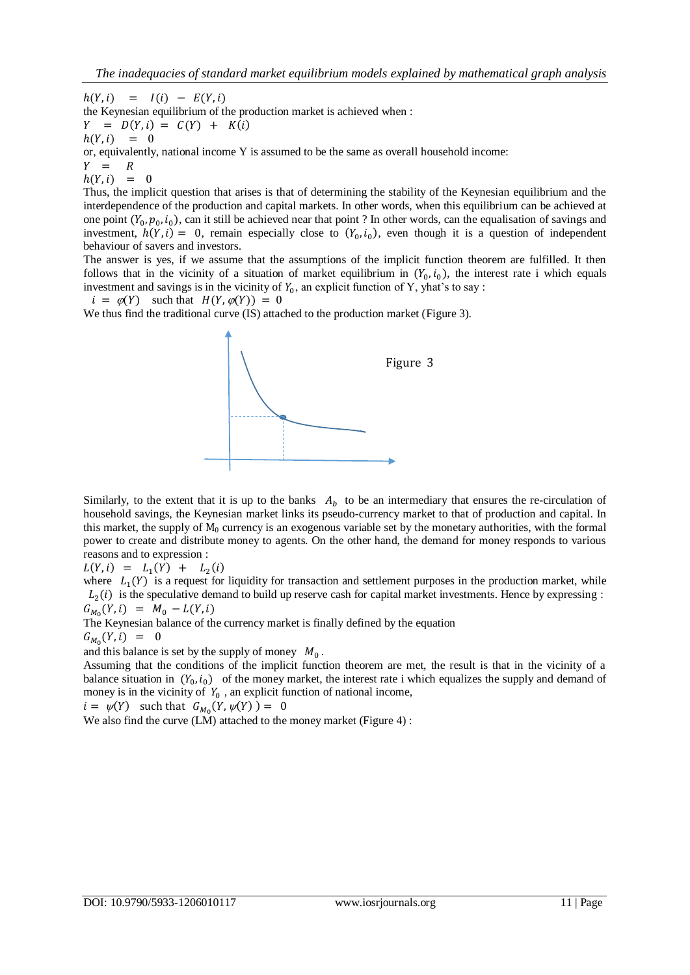$h(Y, i) = I(i) - E(Y, i)$ the Keynesian equilibrium of the production market is achieved when :  $Y = D(Y, i) = C(Y) + K(i)$  $h(Y, i) = 0$ 

or, equivalently, national income Y is assumed to be the same as overall household income:

 $Y = R$  $h(Y, i) =$  $\sqrt{ }$ 

Thus, the implicit question that arises is that of determining the stability of the Keynesian equilibrium and the interdependence of the production and capital markets. In other words, when this equilibrium can be achieved at one point  $(Y_0, p_0, i_0)$ , can it still be achieved near that point ? In other words, can the equalisation of savings and investment,  $h(Y, i) = 0$ , remain especially close to  $(Y_0, i_0)$ , even though it is a question of independent behaviour of savers and investors.

The answer is yes, if we assume that the assumptions of the implicit function theorem are fulfilled. It then follows that in the vicinity of a situation of market equilibrium in  $(Y_0, i_0)$ , the interest rate i which equals investment and savings is in the vicinity of  $Y_0$ , an explicit function of Y, yhat's to say :

 $i = \varphi(Y)$  such that  $H(Y, \varphi(Y)) = 0$ 

We thus find the traditional curve (IS) attached to the production market (Figure 3).



Similarly, to the extent that it is up to the banks  $A<sub>b</sub>$  to be an intermediary that ensures the re-circulation of household savings, the Keynesian market links its pseudo-currency market to that of production and capital. In this market, the supply of  $M_0$  currency is an exogenous variable set by the monetary authorities, with the formal power to create and distribute money to agents. On the other hand, the demand for money responds to various reasons and to expression :

 $L(Y, i) = L_1(Y) + L_2($ 

where  $L_1(Y)$  is a request for liquidity for transaction and settlement purposes in the production market, while  $L_2(i)$  is the speculative demand to build up reserve cash for capital market investments. Hence by expressing :  $G_{M_0}$ 

The Keynesian balance of the currency market is finally defined by the equation

 $G_{M_0}$ 

and this balance is set by the supply of money  $M_0$ .

Assuming that the conditions of the implicit function theorem are met, the result is that in the vicinity of a balance situation in  $(Y_0, i_0)$  of the money market, the interest rate i which equalizes the supply and demand of money is in the vicinity of  $Y_0$ , an explicit function of national income,

 $i = \psi(Y)$  such that  $G_{M_0}$ 

We also find the curve (LM) attached to the money market (Figure 4):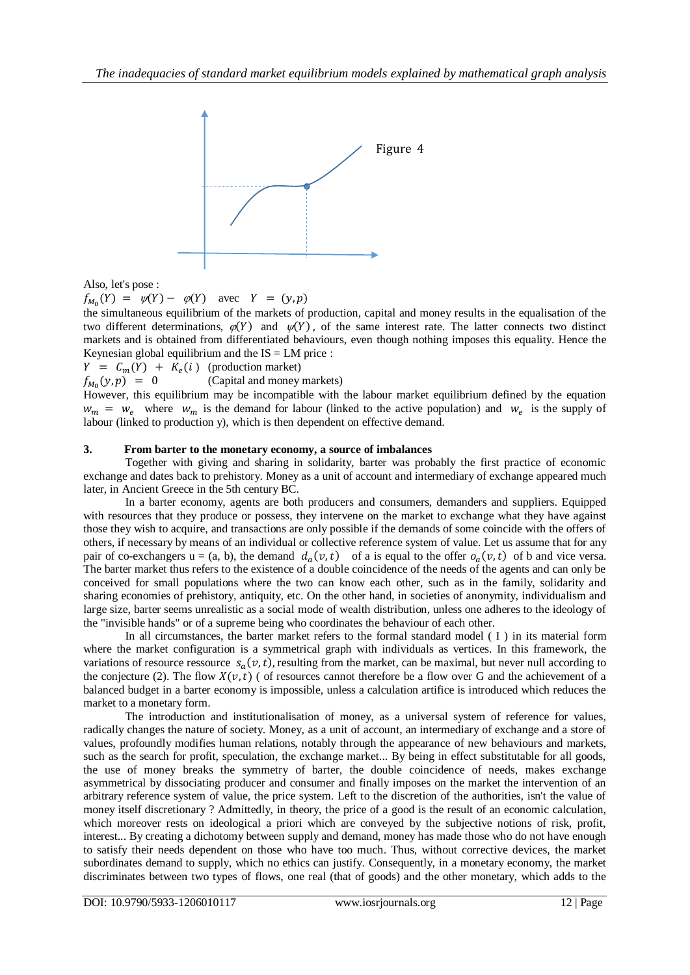

Also, let's pose :

 $f_{M_0}(Y) = \psi(Y) - \varphi(Y)$  avec

the simultaneous equilibrium of the markets of production, capital and money results in the equalisation of the two different determinations,  $\mathcal{O}(Y)$  and  $\mathcal{V}(Y)$ , of the same interest rate. The latter connects two distinct markets and is obtained from differentiated behaviours, even though nothing imposes this equality. Hence the Keynesian global equilibrium and the  $IS = LM$  price :

 $Y = C_m(Y) + K_e(i)$  (production market)

 $f_{M_0}(y,p) = 0$ (Capital and money markets)

However, this equilibrium may be incompatible with the labour market equilibrium defined by the equation  $w_m = w_e$  where  $w_m$  is the demand for labour (linked to the active population) and  $w_e$  is the supply of labour (linked to production y), which is then dependent on effective demand.

## **3. From barter to the monetary economy, a source of imbalances**

Together with giving and sharing in solidarity, barter was probably the first practice of economic exchange and dates back to prehistory. Money as a unit of account and intermediary of exchange appeared much later, in Ancient Greece in the 5th century BC.

In a barter economy, agents are both producers and consumers, demanders and suppliers. Equipped with resources that they produce or possess, they intervene on the market to exchange what they have against those they wish to acquire, and transactions are only possible if the demands of some coincide with the offers of others, if necessary by means of an individual or collective reference system of value. Let us assume that for any pair of co-exchangers  $u = (a, b)$ , the demand  $d_a(v, t)$  of a is equal to the offer  $o_a(v, t)$  of b and vice versa. The barter market thus refers to the existence of a double coincidence of the needs of the agents and can only be conceived for small populations where the two can know each other, such as in the family, solidarity and sharing economies of prehistory, antiquity, etc. On the other hand, in societies of anonymity, individualism and large size, barter seems unrealistic as a social mode of wealth distribution, unless one adheres to the ideology of the "invisible hands" or of a supreme being who coordinates the behaviour of each other.

In all circumstances, the barter market refers to the formal standard model ( I ) in its material form where the market configuration is a symmetrical graph with individuals as vertices. In this framework, the variations of resource ressource  $s_a(v, t)$ , resulting from the market, can be maximal, but never null according to the conjecture (2). The flow  $X(v, t)$  ( of resources cannot therefore be a flow over G and the achievement of a balanced budget in a barter economy is impossible, unless a calculation artifice is introduced which reduces the market to a monetary form.

The introduction and institutionalisation of money, as a universal system of reference for values, radically changes the nature of society. Money, as a unit of account, an intermediary of exchange and a store of values, profoundly modifies human relations, notably through the appearance of new behaviours and markets, such as the search for profit, speculation, the exchange market... By being in effect substitutable for all goods, the use of money breaks the symmetry of barter, the double coincidence of needs, makes exchange asymmetrical by dissociating producer and consumer and finally imposes on the market the intervention of an arbitrary reference system of value, the price system. Left to the discretion of the authorities, isn't the value of money itself discretionary ? Admittedly, in theory, the price of a good is the result of an economic calculation, which moreover rests on ideological a priori which are conveyed by the subjective notions of risk, profit, interest... By creating a dichotomy between supply and demand, money has made those who do not have enough to satisfy their needs dependent on those who have too much. Thus, without corrective devices, the market subordinates demand to supply, which no ethics can justify. Consequently, in a monetary economy, the market discriminates between two types of flows, one real (that of goods) and the other monetary, which adds to the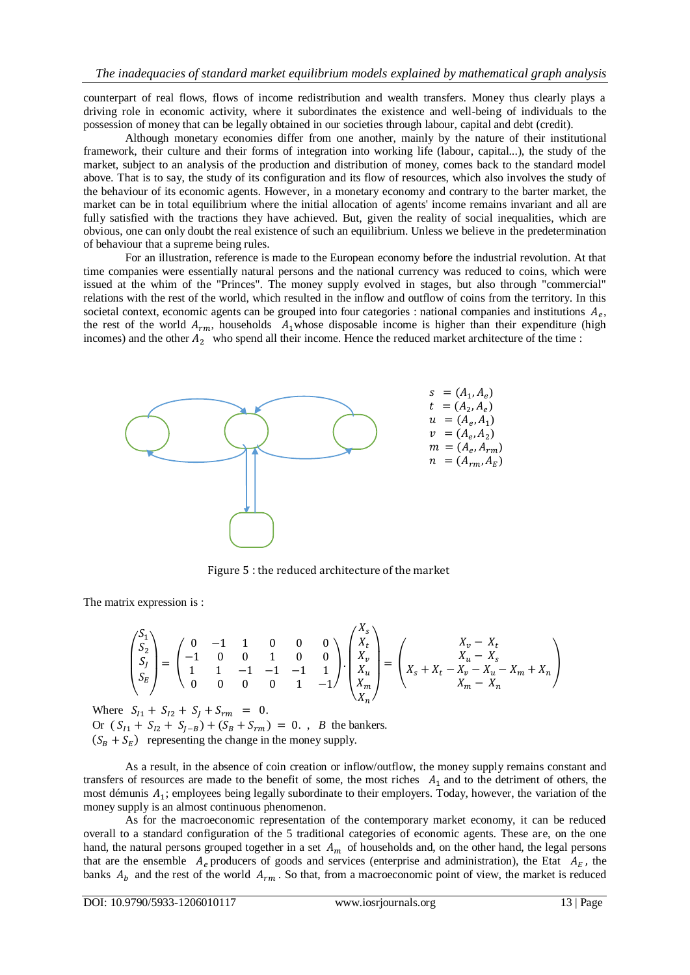counterpart of real flows, flows of income redistribution and wealth transfers. Money thus clearly plays a driving role in economic activity, where it subordinates the existence and well-being of individuals to the possession of money that can be legally obtained in our societies through labour, capital and debt (credit).

Although monetary economies differ from one another, mainly by the nature of their institutional framework, their culture and their forms of integration into working life (labour, capital...), the study of the market, subject to an analysis of the production and distribution of money, comes back to the standard model above. That is to say, the study of its configuration and its flow of resources, which also involves the study of the behaviour of its economic agents. However, in a monetary economy and contrary to the barter market, the market can be in total equilibrium where the initial allocation of agents' income remains invariant and all are fully satisfied with the tractions they have achieved. But, given the reality of social inequalities, which are obvious, one can only doubt the real existence of such an equilibrium. Unless we believe in the predetermination of behaviour that a supreme being rules.

For an illustration, reference is made to the European economy before the industrial revolution. At that time companies were essentially natural persons and the national currency was reduced to coins, which were issued at the whim of the "Princes". The money supply evolved in stages, but also through "commercial" relations with the rest of the world, which resulted in the inflow and outflow of coins from the territory. In this societal context, economic agents can be grouped into four categories : national companies and institutions  $A_e$ , the rest of the world  $A_{rm}$ , households  $A_{1}$  whose disposable income is higher than their expenditure (high incomes) and the other  $A_2$  who spend all their income. Hence the reduced market architecture of the time :



Figure 5 : the reduced architecture of the market

The matrix expression is :

$$
\begin{pmatrix} S_1 \\ S_2 \\ S_f \\ S_E \end{pmatrix} = \begin{pmatrix} 0 & -1 & 1 & 0 & 0 & 0 \\ -1 & 0 & 0 & 1 & 0 & 0 \\ 1 & 1 & -1 & -1 & -1 & 1 \\ 0 & 0 & 0 & 0 & 1 & -1 \end{pmatrix} \cdot \begin{pmatrix} X_s \\ X_t \\ X_v \\ X_u \\ X_u \end{pmatrix} = \begin{pmatrix} X_v - X_t \\ X_u - X_s \\ X_u - X_v - X_u - X_m + X_n \\ X_m - X_n \end{pmatrix}
$$

Where  $S_{I1} + S_{I2} + S_J + S_{rm} = 0$ . Or  $(S_{I1} + S_{I2} + S_{J-B}) + (S_B + S_{rm}) = 0$ . *B* the bankers.  $(S_B + S_E)$  representing the change in the money supply.

As a result, in the absence of coin creation or inflow/outflow, the money supply remains constant and transfers of resources are made to the benefit of some, the most riches  $A_1$  and to the detriment of others, the most démunis  $A_1$ ; employees being legally subordinate to their employers. Today, however, the variation of the money supply is an almost continuous phenomenon.

As for the macroeconomic representation of the contemporary market economy, it can be reduced overall to a standard configuration of the 5 traditional categories of economic agents. These are, on the one hand, the natural persons grouped together in a set  $A_m$  of households and, on the other hand, the legal persons that are the ensemble  $A_e$  producers of goods and services (enterprise and administration), the Etat  $A_E$ , the banks  $A_b$  and the rest of the world  $A_{rm}$ . So that, from a macroeconomic point of view, the market is reduced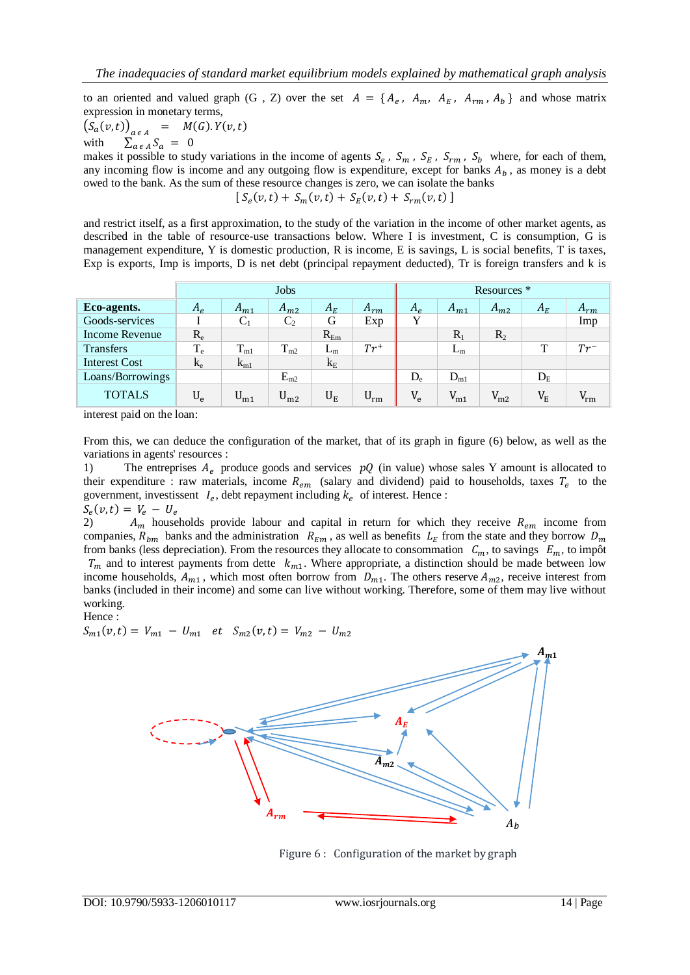to an oriented and valued graph (G, Z) over the set  $A = \{A_e, A_m, A_E, A_{rm} \}$  and whose matrix expression in monetary terms,

 $(S_a(v,t))_{a \in A}$  = with  $\sum_{a \in A}^{a \in A} S_a = 0$ 

makes it possible to study variations in the income of agents  $S_e$ ,  $S_m$ ,  $S_E$ ,  $S_{rm}$ ,  $S_b$  where, for each of them, any incoming flow is income and any outgoing flow is expenditure, except for banks  $A<sub>b</sub>$ , as money is a debt owed to the bank. As the sum of these resource changes is zero, we can isolate the banks  $S_e(v, t) + S_m(v, t) + S_E(v)$ 

and restrict itself, as a first approximation, to the study of the variation in the income of other market agents, as described in the table of resource-use transactions below. Where I is investment, C is consumption, G is management expenditure, Y is domestic production, R is income, E is savings, L is social benefits, T is taxes, Exp is exports, Imp is imports, D is net debt (principal repayment deducted), Tr is foreign transfers and k is

|                      | Jobs    |              |                |          |          | Resources <sup>*</sup> |          |          |             |          |
|----------------------|---------|--------------|----------------|----------|----------|------------------------|----------|----------|-------------|----------|
| Eco-agents.          | $A_e$   | $A_{m1}$     | $A_{m2}$       | $A_E$    | $A_{rm}$ | $A_e$                  | $A_{m1}$ | $A_{m2}$ | $A_{E}$     | $A_{rm}$ |
| Goods-services       |         | U1           | C <sub>2</sub> | G        | Exp      | Y                      |          |          |             | Imp      |
| Income Revenue       | $R_{e}$ |              |                | $R_{Em}$ |          |                        | $R_1$    | $R_2$    |             |          |
| <b>Transfers</b>     | $T_e$   | $T_{\rm ml}$ | $T_{m2}$       | $L_{m}$  | $Tr^+$   |                        | $L_{m}$  |          | T           | $Tr^-$   |
| <b>Interest Cost</b> | $k_{e}$ | $k_{m1}$     |                | $k_{E}$  |          |                        |          |          |             |          |
| Loans/Borrowings     |         |              | $E_{m2}$       |          |          | $D_{e}$                | $D_{m1}$ |          | $D_{E}$     |          |
| <b>TOTALS</b>        | $U_{e}$ | $U_{m1}$     | $U_{m2}$       | $U_{E}$  | $U_{rm}$ | $V_{\rm e}$            | $V_{m1}$ | $V_{m2}$ | $V_{\rm E}$ | $V_{rm}$ |

interest paid on the loan:

From this, we can deduce the configuration of the market, that of its graph in figure (6) below, as well as the variations in agents' resources :

1) The entreprises  $A_e$  produce goods and services  $pQ$  (in value) whose sales Y amount is allocated to their expenditure : raw materials, income  $R_{em}$  (salary and dividend) paid to households, taxes  $T_e$  to the government, investissent  $I_e$ , debt repayment including  $k_e$  of interest. Hence:  $\emph{S}_{e}(% \emph{A})$ 

2)  $A_m$  households provide labour and capital in return for which they receive  $R_{em}$  income from companies,  $R_{bm}$  banks and the administration  $R_{Em}$ , as well as benefits  $L_E$  from the state and they borrow  $D_m$ from banks (less depreciation). From the resources they allocate to consommation  $C_m$ , to savings  $E_m$ , to impôt  $T_m$  and to interest payments from dette  $k_{m1}$ . Where appropriate, a distinction should be made between low income households,  $A_{m1}$ , which most often borrow from  $D_{m1}$ . The others reserve  $A_{m2}$ , receive interest from banks (included in their income) and some can live without working. Therefore, some of them may live without working.

Hence :

$$
S_{m1}(v,t) = V_{m1} - U_{m1} \quad et \quad S_{m2}(v,t) = V_{m2} - U_{m2}
$$



Figure 6 : Configuration of the market by graph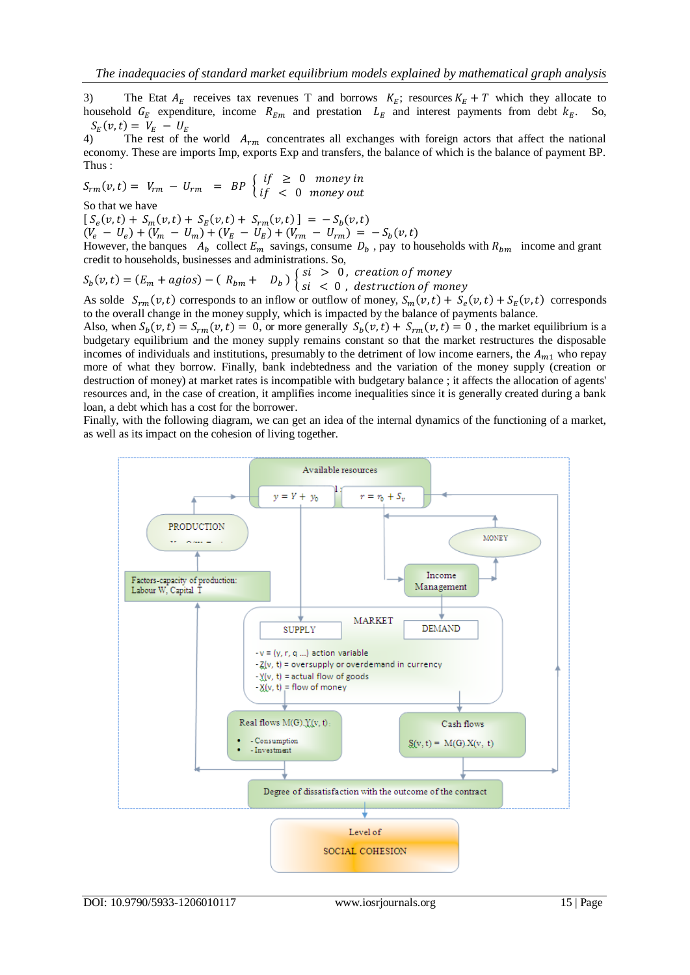3) The Etat  $A_E$  receives tax revenues T and borrows  $K_E$ ; resources  $K_E + T$  which they allocate to household  $G_E$  expenditure, income  $R_{Em}$  and prestation  $L_E$  and interest payments from debt  $k_E$ . So,  $\emph{S}_{E}(% \emph{A})=\emph{S}_{E}(\emph{A})$ 

4) The rest of the world  $A_{rm}$  concentrates all exchanges with foreign actors that affect the national economy. These are imports Imp, exports Exp and transfers, the balance of which is the balance of payment BP. Thus :

$$
S_{rm}(v,t) = V_{rm} - U_{rm} = BP \begin{cases} if \ge 0 \text{ money in} \\ if < 0 \text{ money out} \end{cases}
$$
  
So that we have

 $[S_e(v,t) + S_m(v,t) + S_E(v,t) + S_{rm}(v,t)] = -S_b(v,t)$ 

 $(V_e - U_e) + (V_m - U_m) + (V_E - U_E) + (V_{rm} - U_{rm}) = -S_b$ 

However, the banques  $A_h$  collect  $E_m$  savings, consume  $D_h$ , pay to households with  $R_{hm}$  income and grant credit to households, businesses and administrations. So,

$$
S_b(v,t) = (E_m + agios) - (R_{bm} + D_b) \begin{cases} si > 0, \text{ creation of money} \\ si < 0, \text{ destruction of money} \end{cases}
$$

As solde  $S_{rm}(v, t)$  corresponds to an inflow or outflow of money,  $S_m(v, t) + S_e(v, t) + S_E(v, t)$  corresponds to the overall change in the money supply, which is impacted by the balance of payments balance.

Also, when  $S_h(v, t) = S_{rm}(v, t) = 0$ , or more generally  $S_h(v, t) + S_{rm}(v, t) = 0$ , the market equilibrium is a budgetary equilibrium and the money supply remains constant so that the market restructures the disposable incomes of individuals and institutions, presumably to the detriment of low income earners, the  $A_{m1}$  who repay more of what they borrow. Finally, bank indebtedness and the variation of the money supply (creation or destruction of money) at market rates is incompatible with budgetary balance ; it affects the allocation of agents' resources and, in the case of creation, it amplifies income inequalities since it is generally created during a bank loan, a debt which has a cost for the borrower.

Finally, with the following diagram, we can get an idea of the internal dynamics of the functioning of a market, as well as its impact on the cohesion of living together.



DOI: 10.9790/5933-1206010117 www.iosrjournals.org 15 | Page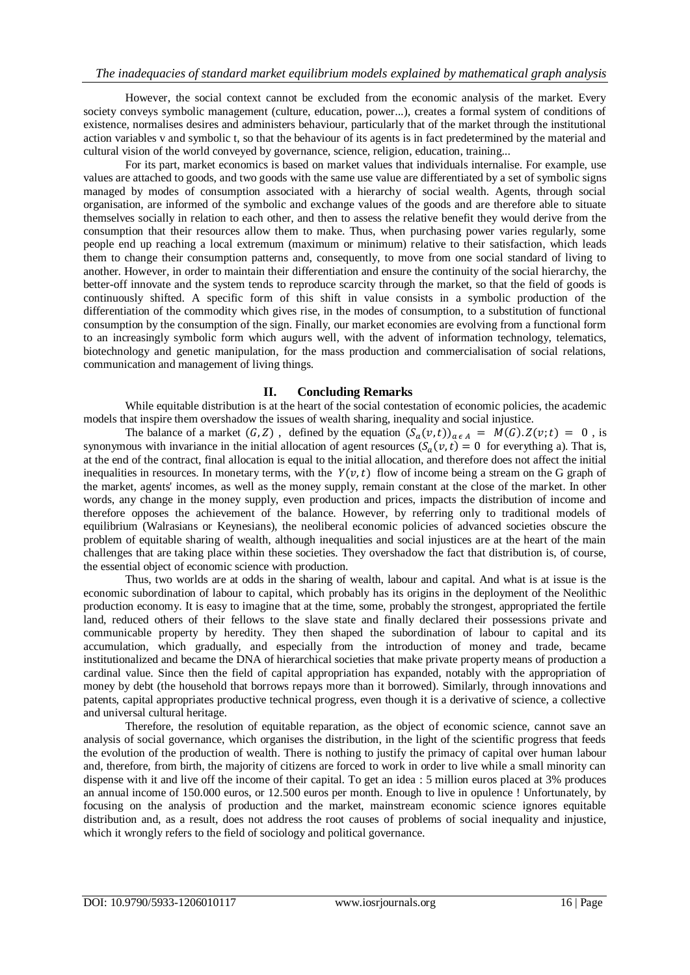However, the social context cannot be excluded from the economic analysis of the market. Every society conveys symbolic management (culture, education, power...), creates a formal system of conditions of existence, normalises desires and administers behaviour, particularly that of the market through the institutional action variables v and symbolic t, so that the behaviour of its agents is in fact predetermined by the material and cultural vision of the world conveyed by governance, science, religion, education, training...

For its part, market economics is based on market values that individuals internalise. For example, use values are attached to goods, and two goods with the same use value are differentiated by a set of symbolic signs managed by modes of consumption associated with a hierarchy of social wealth. Agents, through social organisation, are informed of the symbolic and exchange values of the goods and are therefore able to situate themselves socially in relation to each other, and then to assess the relative benefit they would derive from the consumption that their resources allow them to make. Thus, when purchasing power varies regularly, some people end up reaching a local extremum (maximum or minimum) relative to their satisfaction, which leads them to change their consumption patterns and, consequently, to move from one social standard of living to another. However, in order to maintain their differentiation and ensure the continuity of the social hierarchy, the better-off innovate and the system tends to reproduce scarcity through the market, so that the field of goods is continuously shifted. A specific form of this shift in value consists in a symbolic production of the differentiation of the commodity which gives rise, in the modes of consumption, to a substitution of functional consumption by the consumption of the sign. Finally, our market economies are evolving from a functional form to an increasingly symbolic form which augurs well, with the advent of information technology, telematics, biotechnology and genetic manipulation, for the mass production and commercialisation of social relations, communication and management of living things.

### **II. Concluding Remarks**

While equitable distribution is at the heart of the social contestation of economic policies, the academic models that inspire them overshadow the issues of wealth sharing, inequality and social injustice.

The balance of a market  $(G, Z)$ , defined by the equation  $(S_a(v,t))_{a \in A} = M(G) \cdot Z(v;t) = 0$ , is synonymous with invariance in the initial allocation of agent resources  $(S_a(v, t) = 0)$  for everything a). That is, at the end of the contract, final allocation is equal to the initial allocation, and therefore does not affect the initial inequalities in resources. In monetary terms, with the  $Y(v, t)$  flow of income being a stream on the G graph of the market, agents' incomes, as well as the money supply, remain constant at the close of the market. In other words, any change in the money supply, even production and prices, impacts the distribution of income and therefore opposes the achievement of the balance. However, by referring only to traditional models of equilibrium (Walrasians or Keynesians), the neoliberal economic policies of advanced societies obscure the problem of equitable sharing of wealth, although inequalities and social injustices are at the heart of the main challenges that are taking place within these societies. They overshadow the fact that distribution is, of course, the essential object of economic science with production.

Thus, two worlds are at odds in the sharing of wealth, labour and capital. And what is at issue is the economic subordination of labour to capital, which probably has its origins in the deployment of the Neolithic production economy. It is easy to imagine that at the time, some, probably the strongest, appropriated the fertile land, reduced others of their fellows to the slave state and finally declared their possessions private and communicable property by heredity. They then shaped the subordination of labour to capital and its accumulation, which gradually, and especially from the introduction of money and trade, became institutionalized and became the DNA of hierarchical societies that make private property means of production a cardinal value. Since then the field of capital appropriation has expanded, notably with the appropriation of money by debt (the household that borrows repays more than it borrowed). Similarly, through innovations and patents, capital appropriates productive technical progress, even though it is a derivative of science, a collective and universal cultural heritage.

Therefore, the resolution of equitable reparation, as the object of economic science, cannot save an analysis of social governance, which organises the distribution, in the light of the scientific progress that feeds the evolution of the production of wealth. There is nothing to justify the primacy of capital over human labour and, therefore, from birth, the majority of citizens are forced to work in order to live while a small minority can dispense with it and live off the income of their capital. To get an idea : 5 million euros placed at 3% produces an annual income of 150.000 euros, or 12.500 euros per month. Enough to live in opulence ! Unfortunately, by focusing on the analysis of production and the market, mainstream economic science ignores equitable distribution and, as a result, does not address the root causes of problems of social inequality and injustice, which it wrongly refers to the field of sociology and political governance.